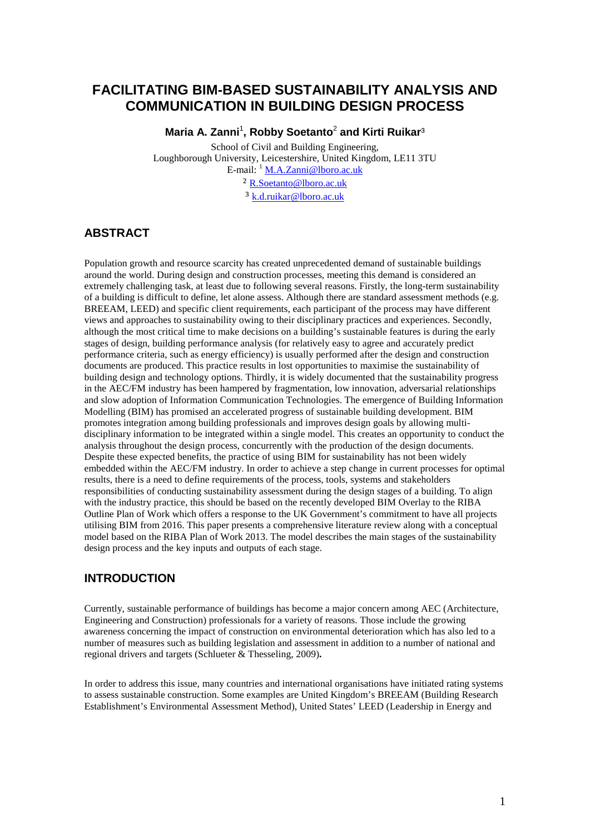# **FACILITATING BIM-BASED SUSTAINABILITY ANALYSIS AND COMMUNICATION IN BUILDING DESIGN PROCESS**

**Maria A. Zanni**<sup>1</sup> **, Robby Soetanto**<sup>2</sup> **and Kirti Ruikar**³

School of Civil and Building Engineering, Loughborough University, Leicestershire, United Kingdom, LE11 3TU E-mail: <sup>1</sup> [M.A.Zanni@lboro.ac.uk](mailto:M.A.Zanni@lboro.ac.uk) ² [R.Soetanto@lboro.ac.uk](mailto:R.Soetanto@lboro.ac.uk) ³ [k.d.ruikar@lboro.ac.uk](mailto:k.d.ruikar@lboro.ac.uk)

# **ABSTRACT**

Population growth and resource scarcity has created unprecedented demand of sustainable buildings around the world. During design and construction processes, meeting this demand is considered an extremely challenging task, at least due to following several reasons. Firstly, the long-term sustainability of a building is difficult to define, let alone assess. Although there are standard assessment methods (e.g. BREEAM, LEED) and specific client requirements, each participant of the process may have different views and approaches to sustainability owing to their disciplinary practices and experiences. Secondly, although the most critical time to make decisions on a building's sustainable features is during the early stages of design, building performance analysis (for relatively easy to agree and accurately predict performance criteria, such as energy efficiency) is usually performed after the design and construction documents are produced. This practice results in lost opportunities to maximise the sustainability of building design and technology options. Thirdly, it is widely documented that the sustainability progress in the AEC/FM industry has been hampered by fragmentation, low innovation, adversarial relationships and slow adoption of Information Communication Technologies. The emergence of Building Information Modelling (BIM) has promised an accelerated progress of sustainable building development. BIM promotes integration among building professionals and improves design goals by allowing multidisciplinary information to be integrated within a single model. This creates an opportunity to conduct the analysis throughout the design process, concurrently with the production of the design documents. Despite these expected benefits, the practice of using BIM for sustainability has not been widely embedded within the AEC/FM industry. In order to achieve a step change in current processes for optimal results, there is a need to define requirements of the process, tools, systems and stakeholders responsibilities of conducting sustainability assessment during the design stages of a building. To align with the industry practice, this should be based on the recently developed BIM Overlay to the RIBA Outline Plan of Work which offers a response to the UK Government's commitment to have all projects utilising BIM from 2016. This paper presents a comprehensive literature review along with a conceptual model based on the RIBA Plan of Work 2013. The model describes the main stages of the sustainability design process and the key inputs and outputs of each stage.

## **INTRODUCTION**

Currently, sustainable performance of buildings has become a major concern among AEC (Architecture, Engineering and Construction) professionals for a variety of reasons. Those include the growing awareness concerning the impact of construction on environmental deterioration which has also led to a number of measures such as building legislation and assessment in addition to a number of national and regional drivers and targets (Schlueter & Thesseling, 2009)**.**

In order to address this issue, many countries and international organisations have initiated rating systems to assess sustainable construction. Some examples are United Kingdom's BREEAM (Building Research Establishment's Environmental Assessment Method), United States' LEED (Leadership in Energy and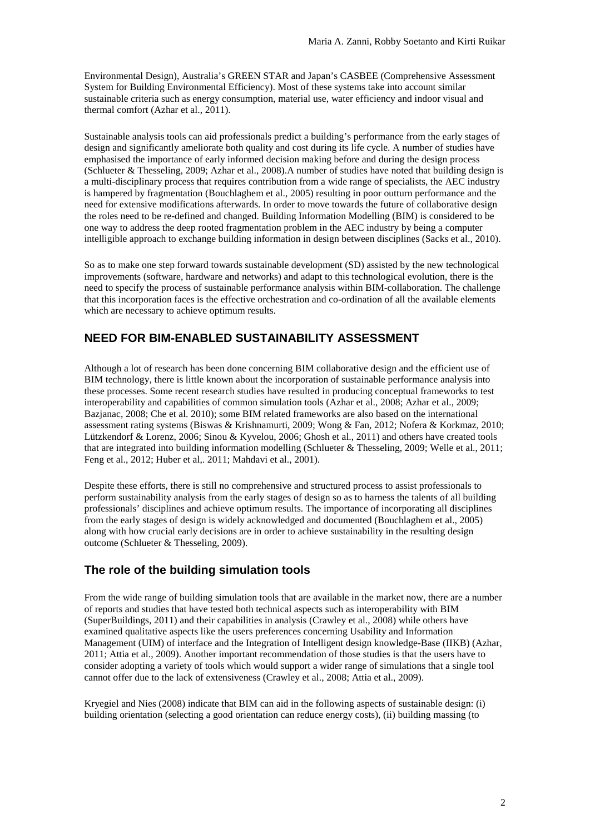Environmental Design), Australia's GREEN STAR and Japan's CASBEE (Comprehensive Assessment System for Building Environmental Efficiency). Most of these systems take into account similar sustainable criteria such as energy consumption, material use, water efficiency and indoor visual and thermal comfort (Azhar et al., 2011).

Sustainable analysis tools can aid professionals predict a building's performance from the early stages of design and significantly ameliorate both quality and cost during its life cycle. A number of studies have emphasised the importance of early informed decision making before and during the design process (Schlueter & Thesseling, 2009; Azhar et al., 2008).A number of studies have noted that building design is a multi-disciplinary process that requires contribution from a wide range of specialists, the AEC industry is hampered by fragmentation (Bouchlaghem et al., 2005) resulting in poor outturn performance and the need for extensive modifications afterwards. In order to move towards the future of collaborative design the roles need to be re-defined and changed. Building Information Modelling (BIM) is considered to be one way to address the deep rooted fragmentation problem in the AEC industry by being a computer intelligible approach to exchange building information in design between disciplines (Sacks et al., 2010).

So as to make one step forward towards sustainable development (SD) assisted by the new technological improvements (software, hardware and networks) and adapt to this technological evolution, there is the need to specify the process of sustainable performance analysis within BIM-collaboration. The challenge that this incorporation faces is the effective orchestration and co-ordination of all the available elements which are necessary to achieve optimum results.

## **NEED FOR BIM-ENABLED SUSTAINABILITY ASSESSMENT**

Although a lot of research has been done concerning BIM collaborative design and the efficient use of BIM technology, there is little known about the incorporation of sustainable performance analysis into these processes. Some recent research studies have resulted in producing conceptual frameworks to test interoperability and capabilities of common simulation tools (Azhar et al., 2008; Azhar et al., 2009; Bazjanac, 2008; Che et al. 2010); some BIM related frameworks are also based on the international assessment rating systems (Biswas & Krishnamurti, 2009; Wong & Fan, 2012; Nofera & Korkmaz, 2010; Lützkendorf & Lorenz, 2006; Sinou & Kyvelou, 2006; Ghosh et al., 2011) and others have created tools that are integrated into building information modelling (Schlueter & Thesseling, 2009; Welle et al., 2011; Feng et al., 2012; Huber et al,. 2011; Mahdavi et al., 2001).

Despite these efforts, there is still no comprehensive and structured process to assist professionals to perform sustainability analysis from the early stages of design so as to harness the talents of all building professionals' disciplines and achieve optimum results. The importance of incorporating all disciplines from the early stages of design is widely acknowledged and documented (Bouchlaghem et al., 2005) along with how crucial early decisions are in order to achieve sustainability in the resulting design outcome (Schlueter & Thesseling, 2009).

### **The role of the building simulation tools**

From the wide range of building simulation tools that are available in the market now, there are a number of reports and studies that have tested both technical aspects such as interoperability with BIM (SuperBuildings, 2011) and their capabilities in analysis (Crawley et al., 2008) while others have examined qualitative aspects like the users preferences concerning Usability and Information Management (UIM) of interface and the Integration of Intelligent design knowledge-Base (IIKB) (Azhar, 2011; Attia et al., 2009). Another important recommendation of those studies is that the users have to consider adopting a variety of tools which would support a wider range of simulations that a single tool cannot offer due to the lack of extensiveness (Crawley et al., 2008; Attia et al., 2009).

Kryegiel and Nies (2008) indicate that BIM can aid in the following aspects of sustainable design: (i) building orientation (selecting a good orientation can reduce energy costs), (ii) building massing (to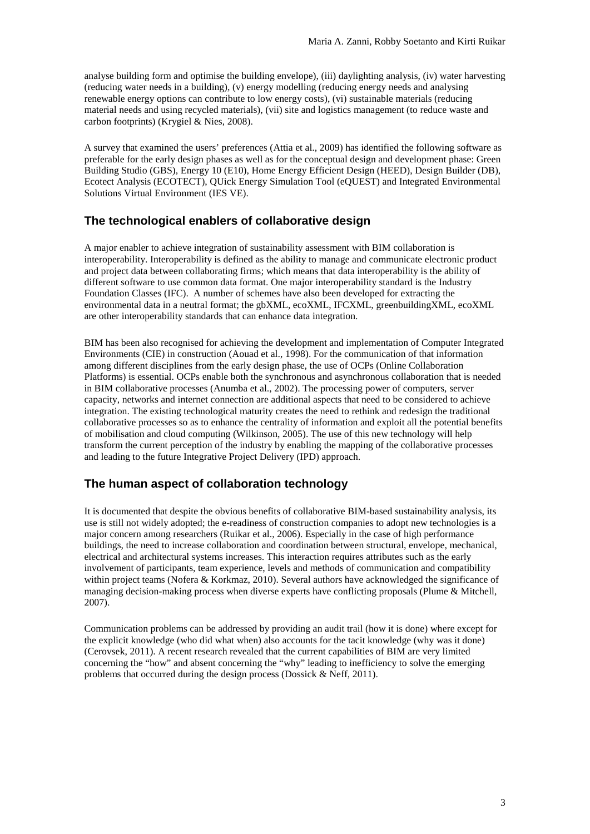analyse building form and optimise the building envelope), (iii) daylighting analysis, (iv) water harvesting (reducing water needs in a building), (v) energy modelling (reducing energy needs and analysing renewable energy options can contribute to low energy costs), (vi) sustainable materials (reducing material needs and using recycled materials), (vii) site and logistics management (to reduce waste and carbon footprints) (Krygiel & Nies, 2008).

A survey that examined the users' preferences (Attia et al., 2009) has identified the following software as preferable for the early design phases as well as for the conceptual design and development phase: Green Building Studio (GBS), Energy 10 (E10), Home Energy Efficient Design (HEED), Design Builder (DB), Ecotect Analysis (ECOTECT), QUick Energy Simulation Tool (eQUEST) and Integrated Environmental Solutions Virtual Environment (IES VE).

### **The technological enablers of collaborative design**

A major enabler to achieve integration of sustainability assessment with BIM collaboration is interoperability. Interoperability is defined as the ability to manage and communicate electronic product and project data between collaborating firms; which means that data interoperability is the ability of different software to use common data format. One major interoperability standard is the Industry Foundation Classes (IFC). A number of schemes have also been developed for extracting the environmental data in a neutral format; the gbXML, ecoXML, IFCXML, greenbuildingXML, ecoXML are other interoperability standards that can enhance data integration.

BIM has been also recognised for achieving the development and implementation of Computer Integrated Environments (CIE) in construction (Aouad et al., 1998). For the communication of that information among different disciplines from the early design phase, the use of OCPs (Online Collaboration Platforms) is essential. OCPs enable both the synchronous and asynchronous collaboration that is needed in BIM collaborative processes (Anumba et al., 2002). The processing power of computers, server capacity, networks and internet connection are additional aspects that need to be considered to achieve integration. The existing technological maturity creates the need to rethink and redesign the traditional collaborative processes so as to enhance the centrality of information and exploit all the potential benefits of mobilisation and cloud computing (Wilkinson, 2005). The use of this new technology will help transform the current perception of the industry by enabling the mapping of the collaborative processes and leading to the future Integrative Project Delivery (IPD) approach.

#### **The human aspect of collaboration technology**

It is documented that despite the obvious benefits of collaborative BIM-based sustainability analysis, its use is still not widely adopted; the e-readiness of construction companies to adopt new technologies is a major concern among researchers (Ruikar et al., 2006). Especially in the case of high performance buildings, the need to increase collaboration and coordination between structural, envelope, mechanical, electrical and architectural systems increases. This interaction requires attributes such as the early involvement of participants, team experience, levels and methods of communication and compatibility within project teams (Nofera & Korkmaz, 2010). Several authors have acknowledged the significance of managing decision-making process when diverse experts have conflicting proposals (Plume & Mitchell, 2007).

Communication problems can be addressed by providing an audit trail (how it is done) where except for the explicit knowledge (who did what when) also accounts for the tacit knowledge (why was it done) (Cerovsek, 2011). A recent research revealed that the current capabilities of BIM are very limited concerning the "how" and absent concerning the "why" leading to inefficiency to solve the emerging problems that occurred during the design process (Dossick & Neff, 2011).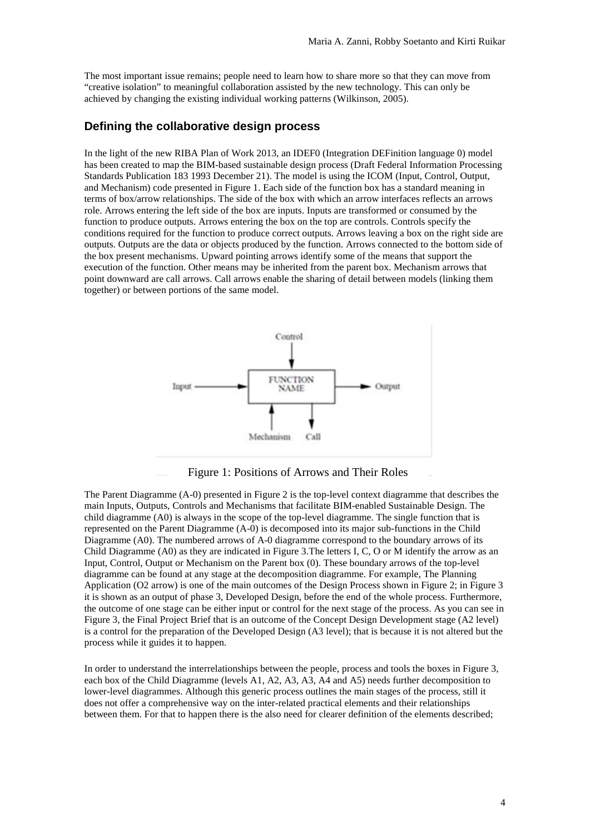The most important issue remains; people need to learn how to share more so that they can move from "creative isolation" to meaningful collaboration assisted by the new technology. This can only be achieved by changing the existing individual working patterns (Wilkinson, 2005).

#### **Defining the collaborative design process**

In the light of the new RIBA Plan of Work 2013, an IDEF0 (Integration DEFinition language 0) model has been created to map the BIM-based sustainable design process (Draft Federal Information Processing Standards Publication 183 1993 December 21). The model is using the ICOM (Input, Control, Output, and Mechanism) code presented in Figure 1. Each side of the function box has a standard meaning in terms of box/arrow relationships. The side of the box with which an arrow interfaces reflects an arrows role. Arrows entering the left side of the box are inputs. Inputs are transformed or consumed by the function to produce outputs. Arrows entering the box on the top are controls. Controls specify the conditions required for the function to produce correct outputs. Arrows leaving a box on the right side are outputs. Outputs are the data or objects produced by the function. Arrows connected to the bottom side of the box present mechanisms. Upward pointing arrows identify some of the means that support the execution of the function. Other means may be inherited from the parent box. Mechanism arrows that point downward are call arrows. Call arrows enable the sharing of detail between models (linking them together) or between portions of the same model.



Figure 1: Positions of Arrows and Their Roles

The Parent Diagramme (A-0) presented in Figure 2 is the top-level context diagramme that describes the main Inputs, Outputs, Controls and Mechanisms that facilitate BIM-enabled Sustainable Design. The child diagramme (A0) is always in the scope of the top-level diagramme. The single function that is represented on the Parent Diagramme (A-0) is decomposed into its major sub-functions in the Child Diagramme (A0). The numbered arrows of A-0 diagramme correspond to the boundary arrows of its Child Diagramme (A0) as they are indicated in Figure 3.The letters I, C, O or M identify the arrow as an Input, Control, Output or Mechanism on the Parent box (0). These boundary arrows of the top-level diagramme can be found at any stage at the decomposition diagramme. For example, The Planning Application (O2 arrow) is one of the main outcomes of the Design Process shown in Figure 2; in Figure 3 it is shown as an output of phase 3, Developed Design, before the end of the whole process. Furthermore, the outcome of one stage can be either input or control for the next stage of the process. As you can see in Figure 3, the Final Project Brief that is an outcome of the Concept Design Development stage (A2 level) is a control for the preparation of the Developed Design (A3 level); that is because it is not altered but the process while it guides it to happen.

In order to understand the interrelationships between the people, process and tools the boxes in Figure 3, each box of the Child Diagramme (levels A1, A2, A3, A3, A4 and A5) needs further decomposition to lower-level diagrammes. Although this generic process outlines the main stages of the process, still it does not offer a comprehensive way on the inter-related practical elements and their relationships between them. For that to happen there is the also need for clearer definition of the elements described;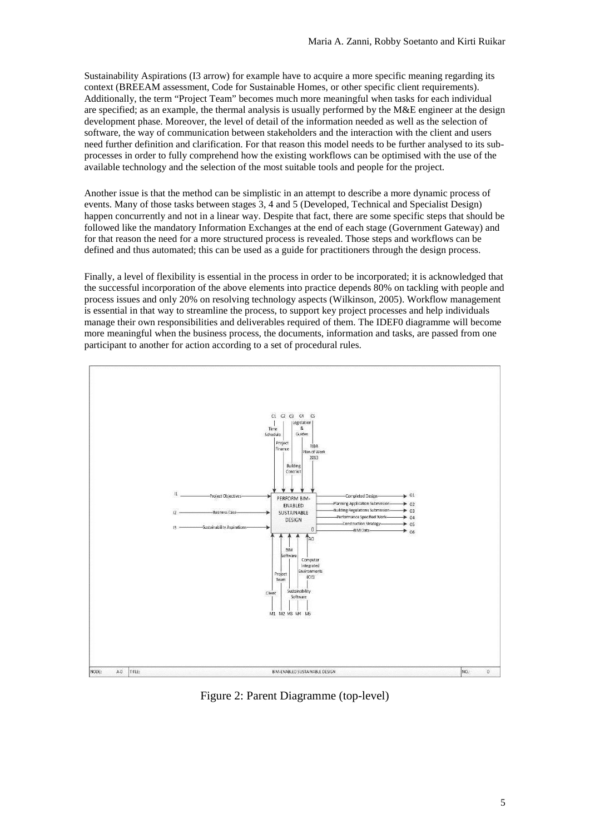Sustainability Aspirations (I3 arrow) for example have to acquire a more specific meaning regarding its context (BREEAM assessment, Code for Sustainable Homes, or other specific client requirements). Additionally, the term "Project Team" becomes much more meaningful when tasks for each individual are specified; as an example, the thermal analysis is usually performed by the M&E engineer at the design development phase. Moreover, the level of detail of the information needed as well as the selection of software, the way of communication between stakeholders and the interaction with the client and users need further definition and clarification. For that reason this model needs to be further analysed to its subprocesses in order to fully comprehend how the existing workflows can be optimised with the use of the available technology and the selection of the most suitable tools and people for the project.

Another issue is that the method can be simplistic in an attempt to describe a more dynamic process of events. Many of those tasks between stages 3, 4 and 5 (Developed, Technical and Specialist Design) happen concurrently and not in a linear way. Despite that fact, there are some specific steps that should be followed like the mandatory Information Exchanges at the end of each stage (Government Gateway) and for that reason the need for a more structured process is revealed. Those steps and workflows can be defined and thus automated; this can be used as a guide for practitioners through the design process.

Finally, a level of flexibility is essential in the process in order to be incorporated; it is acknowledged that the successful incorporation of the above elements into practice depends 80% on tackling with people and process issues and only 20% on resolving technology aspects (Wilkinson, 2005). Workflow management is essential in that way to streamline the process, to support key project processes and help individuals manage their own responsibilities and deliverables required of them. The IDEF0 diagramme will become more meaningful when the business process, the documents, information and tasks, are passed from one participant to another for action according to a set of procedural rules.



Figure 2: Parent Diagramme (top-level)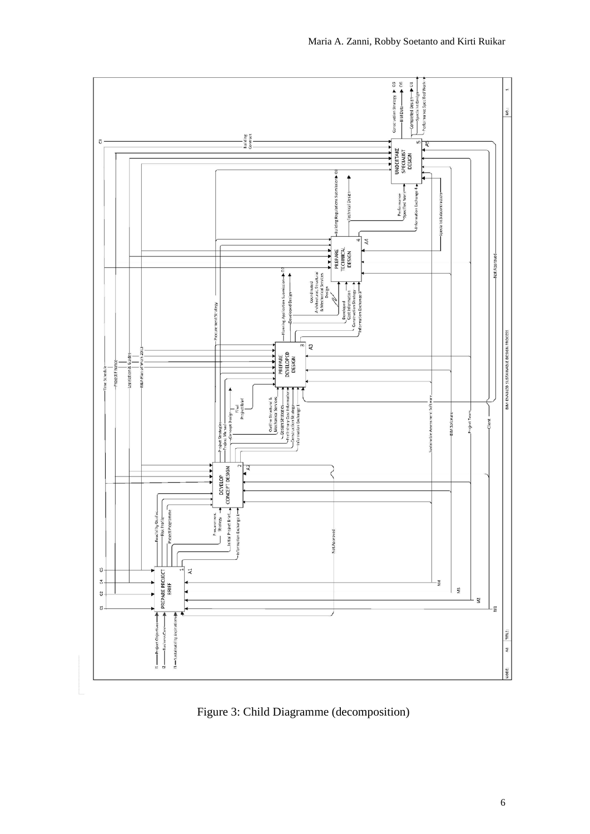

Figure 3: Child Diagramme (decomposition)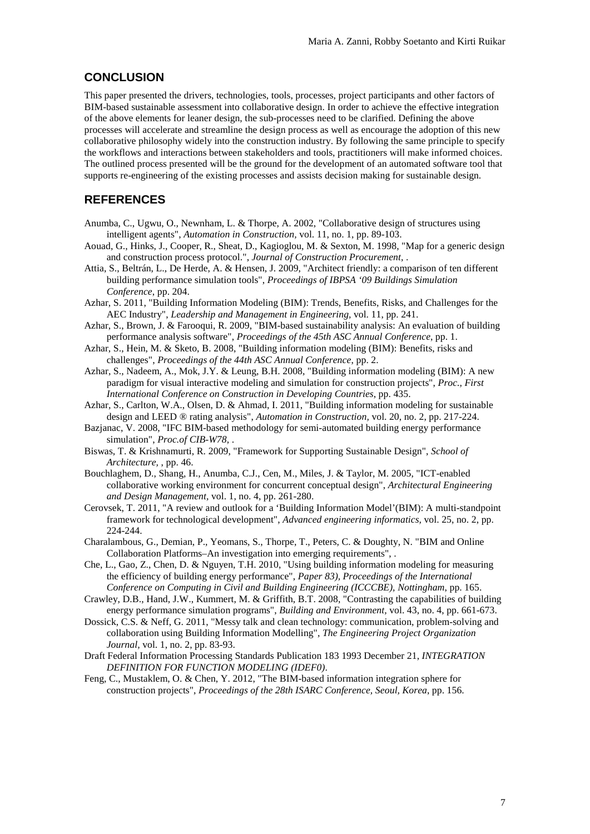### **CONCLUSION**

This paper presented the drivers, technologies, tools, processes, project participants and other factors of BIM-based sustainable assessment into collaborative design. In order to achieve the effective integration of the above elements for leaner design, the sub-processes need to be clarified. Defining the above processes will accelerate and streamline the design process as well as encourage the adoption of this new collaborative philosophy widely into the construction industry. By following the same principle to specify the workflows and interactions between stakeholders and tools, practitioners will make informed choices. The outlined process presented will be the ground for the development of an automated software tool that supports re-engineering of the existing processes and assists decision making for sustainable design.

### **REFERENCES**

- Anumba, C., Ugwu, O., Newnham, L. & Thorpe, A. 2002, "Collaborative design of structures using intelligent agents", *Automation in Construction,* vol. 11, no. 1, pp. 89-103.
- Aouad, G., Hinks, J., Cooper, R., Sheat, D., Kagioglou, M. & Sexton, M. 1998, "Map for a generic design and construction process protocol.", *Journal of Construction Procurement,* .
- Attia, S., Beltrán, L., De Herde, A. & Hensen, J. 2009, "Architect friendly: a comparison of ten different building performance simulation tools", *Proceedings of IBPSA '09 Buildings Simulation Conference*, pp. 204.
- Azhar, S. 2011, "Building Information Modeling (BIM): Trends, Benefits, Risks, and Challenges for the AEC Industry", *Leadership and Management in Engineering,* vol. 11, pp. 241.
- Azhar, S., Brown, J. & Farooqui, R. 2009, "BIM-based sustainability analysis: An evaluation of building performance analysis software", *Proceedings of the 45th ASC Annual Conference*, pp. 1.
- Azhar, S., Hein, M. & Sketo, B. 2008, "Building information modeling (BIM): Benefits, risks and challenges", *Proceedings of the 44th ASC Annual Conference*, pp. 2.
- Azhar, S., Nadeem, A., Mok, J.Y. & Leung, B.H. 2008, "Building information modeling (BIM): A new paradigm for visual interactive modeling and simulation for construction projects", *Proc., First International Conference on Construction in Developing Countries*, pp. 435.
- Azhar, S., Carlton, W.A., Olsen, D. & Ahmad, I. 2011, "Building information modeling for sustainable design and LEED ® rating analysis", *Automation in Construction,* vol. 20, no. 2, pp. 217-224.
- Bazjanac, V. 2008, "IFC BIM-based methodology for semi-automated building energy performance simulation", *Proc.of CIB-W78,* .
- Biswas, T. & Krishnamurti, R. 2009, "Framework for Supporting Sustainable Design", *School of Architecture,* , pp. 46.
- Bouchlaghem, D., Shang, H., Anumba, C.J., Cen, M., Miles, J. & Taylor, M. 2005, "ICT-enabled collaborative working environment for concurrent conceptual design", *Architectural Engineering and Design Management,* vol. 1, no. 4, pp. 261-280.
- Cerovsek, T. 2011, "A review and outlook for a 'Building Information Model'(BIM): A multi-standpoint framework for technological development", *Advanced engineering informatics,* vol. 25, no. 2, pp. 224-244.
- Charalambous, G., Demian, P., Yeomans, S., Thorpe, T., Peters, C. & Doughty, N. "BIM and Online Collaboration Platforms–An investigation into emerging requirements", .
- Che, L., Gao, Z., Chen, D. & Nguyen, T.H. 2010, "Using building information modeling for measuring the efficiency of building energy performance", *Paper 83), Proceedings of the International Conference on Computing in Civil and Building Engineering (ICCCBE), Nottingham*, pp. 165.
- Crawley, D.B., Hand, J.W., Kummert, M. & Griffith, B.T. 2008, "Contrasting the capabilities of building energy performance simulation programs", *Building and Environment,* vol. 43, no. 4, pp. 661-673.
- Dossick, C.S. & Neff, G. 2011, "Messy talk and clean technology: communication, problem-solving and collaboration using Building Information Modelling", *The Engineering Project Organization Journal,* vol. 1, no. 2, pp. 83-93.
- Draft Federal Information Processing Standards Publication 183 1993 December 21, *INTEGRATION DEFINITION FOR FUNCTION MODELING (IDEF0)*.
- Feng, C., Mustaklem, O. & Chen, Y. 2012, "The BIM-based information integration sphere for construction projects", *Proceedings of the 28th ISARC Conference, Seoul, Korea*, pp. 156.